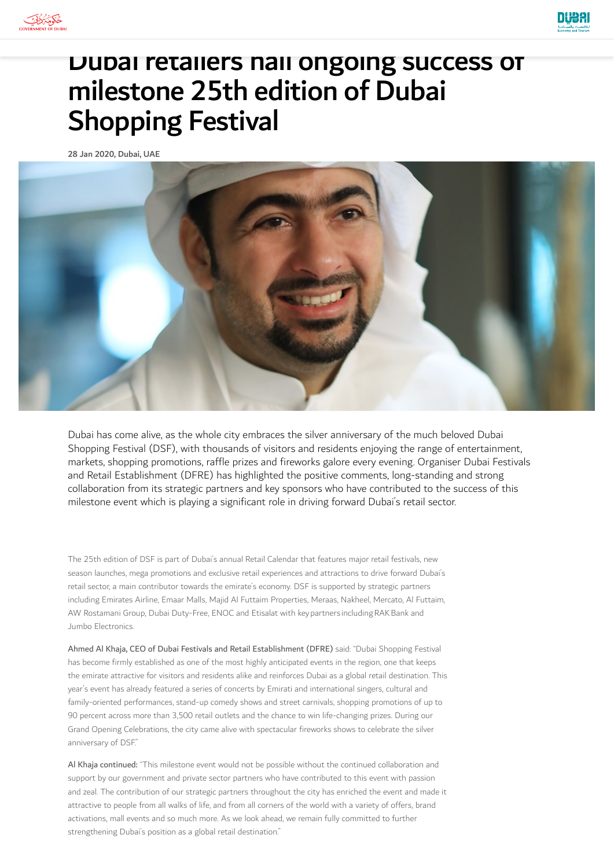



# Dubai retailers hail ongoing success of milestone 25th edition of Dubai Shopping Festival

28 Jan 2020, Dubai, UAE



Dubai has come alive, as the whole city embraces the silver anniversary of the much beloved Dubai Shopping Festival (DSF), with thousands of visitors and residents enjoying the range of entertainment, markets, shopping promotions, raffle prizes and fireworks galore every evening. Organiser Dubai Festivals and Retail Establishment (DFRE) has highlighted the positive comments, long-standing and strong collaboration from its strategic partners and key sponsors who have contributed to the success of this milestone event which is playing a significant role in driving forward Dubai's retail sector.

The 25th edition of DSF is part of Dubai's annual Retail Calendar that features major retail festivals, new season launches, mega promotions and exclusive retail experiences and attractions to drive forward Dubai's retail sector, a main contributor towards the emirate's economy. DSF is supported by strategic partners including Emirates Airline, Emaar Malls, Majid Al Futtaim Properties, Meraas, Nakheel, Mercato, Al Futtaim, AW Rostamani Group, Dubai Duty-Free, ENOC and Etisalat with key partners including RAK Bank and Jumbo Electronics.

Ahmed Al Khaja, CEO of Dubai Festivals and Retail Establishment (DFRE) said: "Dubai Shopping Festival has become firmly established as one of the most highly anticipated events in the region, one that keeps the emirate attractive for visitors and residents alike and reinforces Dubai as a global retail destination. This year's event has already featured a series of concerts by Emirati and international singers, cultural and family-oriented performances, stand-up comedy shows and street carnivals, shopping promotions of up to 90 percent across more than 3,500 retail outlets and the chance to win life-changing prizes. During our Grand Opening Celebrations, the city came alive with spectacular fireworks shows to celebrate the silver anniversary of DSF."

Al Khaja continued: "This milestone event would not be possible without the continued collaboration and support by our government and private sector partners who have contributed to this event with passion and zeal. The contribution of our strategic partners throughout the city has enriched the event and made it attractive to people from all walks of life, and from all corners of the world with a variety of offers, brand activations, mall events and so much more. As we look ahead, we remain fully committed to further strengthening Dubai's position as a global retail destination."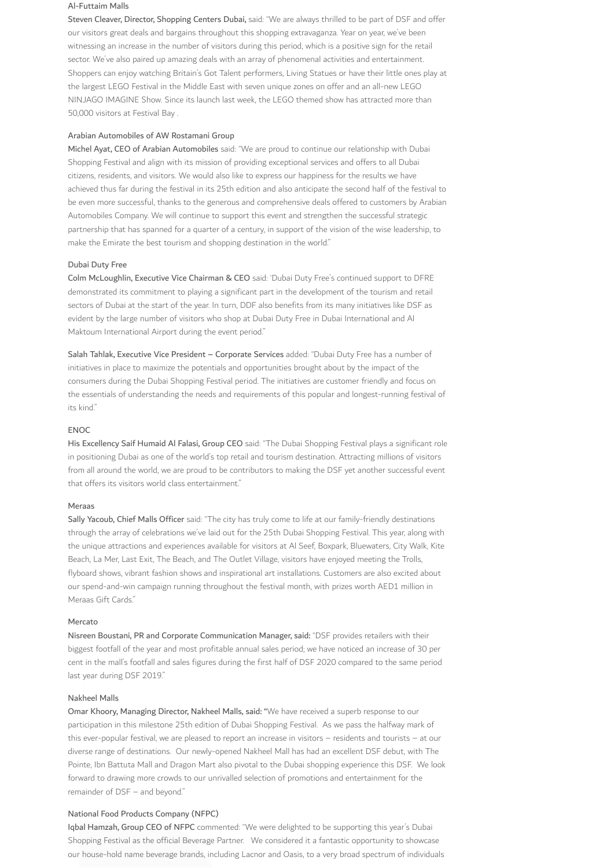#### Al-Futtaim Malls

Steven Cleaver, Director, Shopping Centers Dubai, said: "We are always thrilled to be part of DSF and offer our visitors great deals and bargains throughout this shopping extravaganza. Year on year, we've been witnessing an increase in the number of visitors during this period, which is a positive sign for the retail sector. We've also paired up amazing deals with an array of phenomenal activities and entertainment. Shoppers can enjoy watching Britain's Got Talent performers, Living Statues or have their little ones play at the largest LEGO Festival in the Middle East with seven unique zones on offer and an all-new LEGO NINJAGO IMAGINE Show. Since its launch last week, the LEGO themed show has attracted more than 50,000 visitors at Festival Bay .

## Arabian Automobiles of AW Rostamani Group

Michel Ayat, CEO of Arabian Automobiles said: "We are proud to continue our relationship with Dubai Shopping Festival and align with its mission of providing exceptional services and offers to all Dubai citizens, residents, and visitors. We would also like to express our happiness for the results we have achieved thus far during the festival in its 25th edition and also anticipate the second half of the festival to be even more successful, thanks to the generous and comprehensive deals offered to customers by Arabian Automobiles Company. We will continue to support this event and strengthen the successful strategic partnership that has spanned for a quarter of a century, in support of the vision of the wise leadership, to make the Emirate the best tourism and shopping destination in the world."

#### Dubai Duty Free

Colm McLoughlin, Executive Vice Chairman & CEO said: 'Dubai Duty Free's continued support to DFRE demonstrated its commitment to playing a significant part in the development of the tourism and retail sectors of Dubai at the start of the year. In turn, DDF also benefits from its many initiatives like DSF as evident by the large number of visitors who shop at Dubai Duty Free in Dubai International and Al Maktoum International Airport during the event period."

Salah Tahlak, Executive Vice President – Corporate Services added: "Dubai Duty Free has a number of initiatives in place to maximize the potentials and opportunities brought about by the impact of the consumers during the Dubai Shopping Festival period. The initiatives are customer friendly and focus on the essentials of understanding the needs and requirements of this popular and longest-running festival of its kind."

### ENOC

His Excellency Saif Humaid Al Falasi, Group CEO said: "The Dubai Shopping Festival plays a significant role in positioning Dubai as one of the world's top retail and tourism destination. Attracting millions of visitors from all around the world, we are proud to be contributors to making the DSF yet another successful event that offers its visitors world class entertainment."

#### Meraas

Sally Yacoub, Chief Malls Officer said: "The city has truly come to life at our family-friendly destinations through the array of celebrations we've laid out for the 25th Dubai Shopping Festival. This year, along with the unique attractions and experiences available for visitors at Al Seef, Boxpark, Bluewaters, City Walk, Kite Beach, La Mer, Last Exit, The Beach, and The Outlet Village, visitors have enjoyed meeting the Trolls, flyboard shows, vibrant fashion shows and inspirational art installations. Customers are also excited about our spend-and-win campaign running throughout the festival month, with prizes worth AED1 million in Meraas Gift Cards."

#### Mercato

Nisreen Boustani, PR and Corporate Communication Manager, said: "DSF provides retailers with their biggest footfall of the year and most profitable annual sales period; we have noticed an increase of 30 per cent in the mall's footfall and sales figures during the first half of DSF 2020 compared to the same period last year during DSF 2019."

#### Nakheel Malls

Omar Khoory, Managing Director, Nakheel Malls, said: "We have received a superb response to our participation in this milestone 25th edition of Dubai Shopping Festival. As we pass the halfway mark of this ever-popular festival, we are pleased to report an increase in visitors – residents and tourists – at our diverse range of destinations. Our newly-opened Nakheel Mall has had an excellent DSF debut, with The Pointe, Ibn Battuta Mall and Dragon Mart also pivotal to the Dubai shopping experience this DSF. We look forward to drawing more crowds to our unrivalled selection of promotions and entertainment for the remainder of DSF – and beyond."

## National Food Products Company (NFPC)

Iqbal Hamzah, Group CEO of NFPC commented: "We were delighted to be supporting this year's Dubai Shopping Festival as the official Beverage Partner. We considered it a fantastic opportunity to showcase our house-hold name beverage brands, including Lacnor and Oasis, to a very broad spectrum of individuals